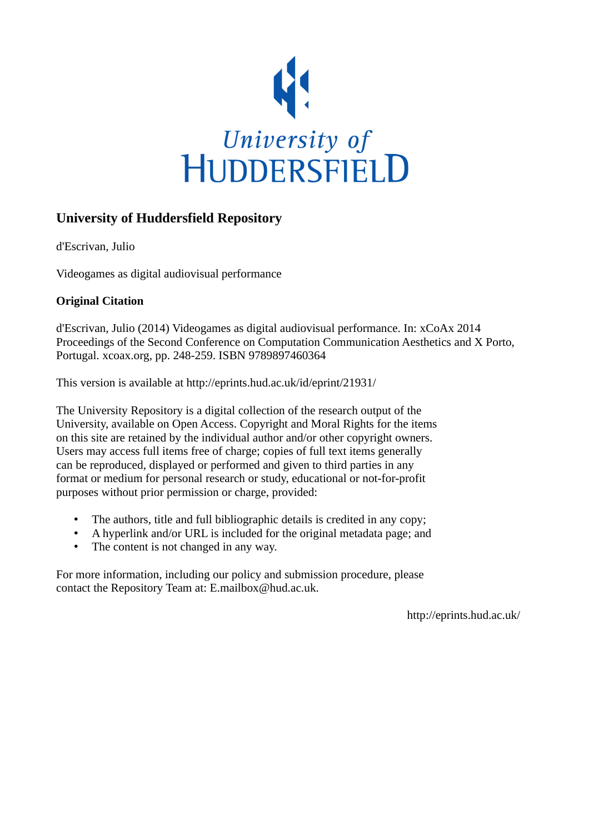

# **University of Huddersfield Repository**

d'Escrivan, Julio

Videogames as digital audiovisual performance

# **Original Citation**

d'Escrivan, Julio (2014) Videogames as digital audiovisual performance. In: xCoAx 2014 Proceedings of the Second Conference on Computation Communication Aesthetics and X Porto, Portugal. xcoax.org, pp. 248-259. ISBN 9789897460364

This version is available at http://eprints.hud.ac.uk/id/eprint/21931/

The University Repository is a digital collection of the research output of the University, available on Open Access. Copyright and Moral Rights for the items on this site are retained by the individual author and/or other copyright owners. Users may access full items free of charge; copies of full text items generally can be reproduced, displayed or performed and given to third parties in any format or medium for personal research or study, educational or not-for-profit purposes without prior permission or charge, provided:

- The authors, title and full bibliographic details is credited in any copy;
- A hyperlink and/or URL is included for the original metadata page; and
- The content is not changed in any way.

For more information, including our policy and submission procedure, please contact the Repository Team at: E.mailbox@hud.ac.uk.

http://eprints.hud.ac.uk/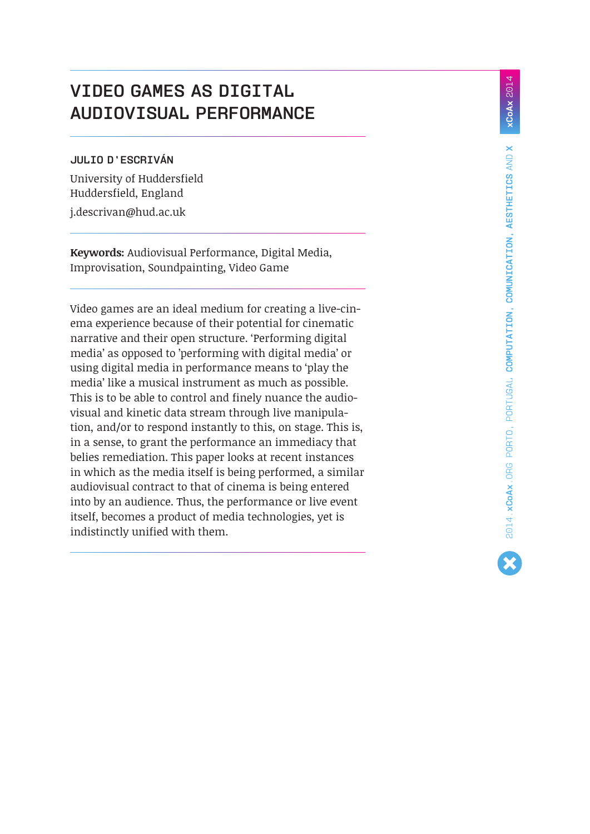# **Video games as digital audiovisual performance**

# **Julio d'Escriván**

University of Huddersfield Huddersfield, England [j.descrivan@hud.ac.uk](mailto:j.descrivan%40hud.ac.uk?subject=)

**Keywords:** Audiovisual Performance, Digital Media, Improvisation, Soundpainting, Video Game

Video games are an ideal medium for creating a live-cinema experience because of their potential for cinematic narrative and their open structure. 'Performing digital media' as opposed to 'performing with digital media' or using digital media in performance means to 'play the media' like a musical instrument as much as possible. This is to be able to control and finely nuance the audiovisual and kinetic data stream through live manipulation, and/or to respond instantly to this, on stage. This is, in a sense, to grant the performance an immediacy that belies remediation. This paper looks at recent instances in which as the media itself is being performed, a similar audiovisual contract to that of cinema is being entered into by an audience. Thus, the performance or live event itself, becomes a product of media technologies, yet is indistinctly unified with them.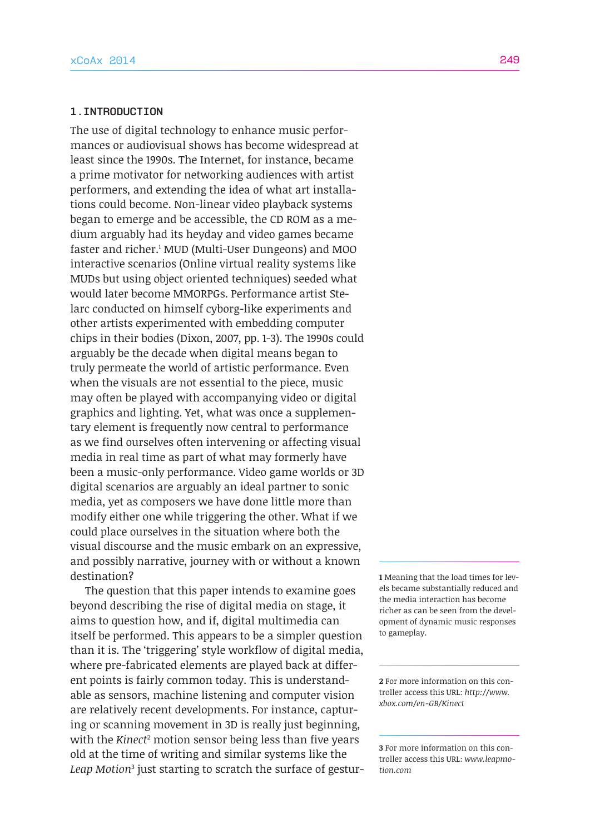## **1.Introduction**

The use of digital technology to enhance music performances or audiovisual shows has become widespread at least since the 1990s. The Internet, for instance, became a prime motivator for networking audiences with artist performers, and extending the idea of what art installations could become. Non-linear video playback systems began to emerge and be accessible, the CD ROM as a medium arguably had its heyday and video games became faster and richer.1 MUD (Multi-User Dungeons) and MOO interactive scenarios (Online virtual reality systems like MUDs but using object oriented techniques) seeded what would later become MMORPGs. Performance artist Stelarc conducted on himself cyborg-like experiments and other artists experimented with embedding computer chips in their bodies (Dixon, 2007, pp. 1-3). The 1990s could arguably be the decade when digital means began to truly permeate the world of artistic performance. Even when the visuals are not essential to the piece, music may often be played with accompanying video or digital graphics and lighting. Yet, what was once a supplementary element is frequently now central to performance as we find ourselves often intervening or affecting visual media in real time as part of what may formerly have been a music-only performance. Video game worlds or 3D digital scenarios are arguably an ideal partner to sonic media, yet as composers we have done little more than modify either one while triggering the other. What if we could place ourselves in the situation where both the visual discourse and the music embark on an expressive, and possibly narrative, journey with or without a known destination?

The question that this paper intends to examine goes beyond describing the rise of digital media on stage, it aims to question how, and if, digital multimedia can itself be performed. This appears to be a simpler question than it is. The 'triggering' style workflow of digital media, where pre-fabricated elements are played back at different points is fairly common today. This is understandable as sensors, machine listening and computer vision are relatively recent developments. For instance, capturing or scanning movement in 3D is really just beginning, with the *Kinect*<sup>2</sup> motion sensor being less than five years old at the time of writing and similar systems like the *Leap Motion*<sup>3</sup> just starting to scratch the surface of gestur**1** Meaning that the load times for levels became substantially reduced and the media interaction has become richer as can be seen from the development of dynamic music responses to gameplay.

**2** For more information on this controller access this URL: *[http://www.](http://www.xbox.com/en-GB/Kinect) [xbox.com/en-GB/Kinect](http://www.xbox.com/en-GB/Kinect)*

**3** For more information on this controller access this URL: *[www.leapmo](http://www.leapmotion.com)[tion.com](http://www.leapmotion.com)*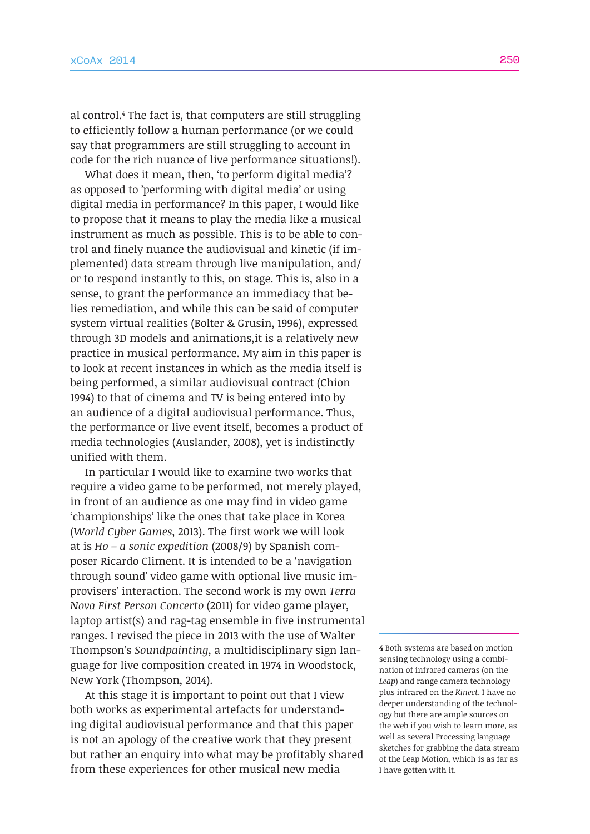al control.4 The fact is, that computers are still struggling to efficiently follow a human performance (or we could say that programmers are still struggling to account in code for the rich nuance of live performance situations!).

What does it mean, then, 'to perform digital media'? as opposed to 'performing with digital media' or using digital media in performance? In this paper, I would like to propose that it means to play the media like a musical instrument as much as possible. This is to be able to control and finely nuance the audiovisual and kinetic (if implemented) data stream through live manipulation, and/ or to respond instantly to this, on stage. This is, also in a sense, to grant the performance an immediacy that belies remediation, and while this can be said of computer system virtual realities (Bolter & Grusin, 1996), expressed through 3D models and animations,it is a relatively new practice in musical performance. My aim in this paper is to look at recent instances in which as the media itself is being performed, a similar audiovisual contract (Chion 1994) to that of cinema and TV is being entered into by an audience of a digital audiovisual performance. Thus, the performance or live event itself, becomes a product of media technologies (Auslander, 2008), yet is indistinctly unified with them.

In particular I would like to examine two works that require a video game to be performed, not merely played, in front of an audience as one may find in video game 'championships' like the ones that take place in Korea (*World Cyber Games*, 2013). The first work we will look at is *Ho – a sonic expedition* (2008/9) by Spanish composer Ricardo Climent. It is intended to be a 'navigation through sound' video game with optional live music improvisers' interaction. The second work is my own *Terra Nova First Person Concerto* (2011) for video game player, laptop artist(s) and rag-tag ensemble in five instrumental ranges. I revised the piece in 2013 with the use of Walter Thompson's *Soundpainting*, a multidisciplinary sign language for live composition created in 1974 in Woodstock, New York (Thompson, 2014).

At this stage it is important to point out that I view both works as experimental artefacts for understanding digital audiovisual performance and that this paper is not an apology of the creative work that they present but rather an enquiry into what may be profitably shared from these experiences for other musical new media

**4** Both systems are based on motion sensing technology using a combination of infrared cameras (on the *Leap*) and range camera technology plus infrared on the *Kinect*. I have no deeper understanding of the technology but there are ample sources on the web if you wish to learn more, as well as several Processing language sketches for grabbing the data stream of the Leap Motion, which is as far as I have gotten with it.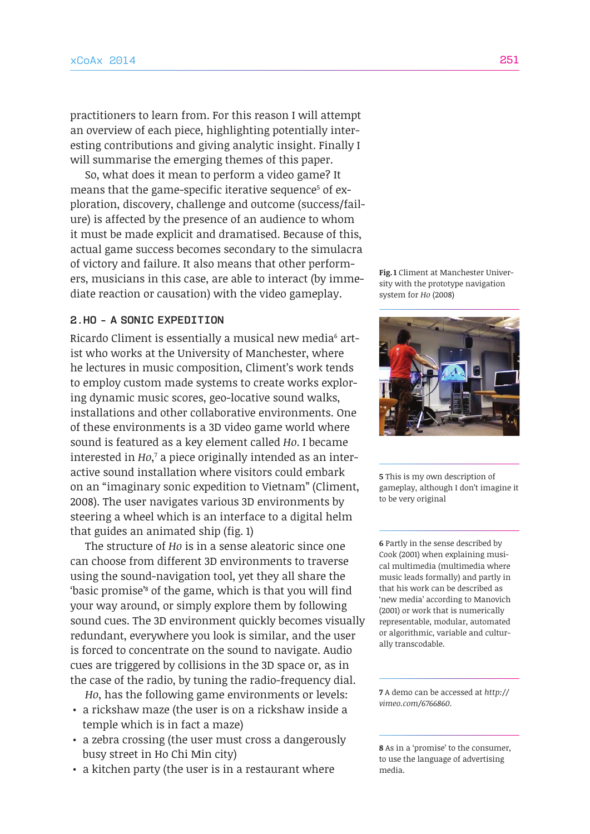practitioners to learn from. For this reason I will attempt an overview of each piece, highlighting potentially interesting contributions and giving analytic insight. Finally I will summarise the emerging themes of this paper.

So, what does it mean to perform a video game? It  $m$ eans that the game-specific iterative sequence $^{\rm 5}$  of exploration, discovery, challenge and outcome (success/failure) is affected by the presence of an audience to whom it must be made explicit and dramatised. Because of this, actual game success becomes secondary to the simulacra of victory and failure. It also means that other performers, musicians in this case, are able to interact (by immediate reaction or causation) with the video gameplay.

# **2.Ho - a sonic expedition**

Ricardo Climent is essentially a musical new media<sup>6</sup> artist who works at the University of Manchester, where he lectures in music composition, Climent's work tends to employ custom made systems to create works exploring dynamic music scores, geo-locative sound walks, installations and other collaborative environments. One of these environments is a 3D video game world where sound is featured as a key element called *Ho*. I became interested in *Ho*,<sup>7</sup> a piece originally intended as an interactive sound installation where visitors could embark on an "imaginary sonic expedition to Vietnam" (Climent, 2008). The user navigates various 3D environments by steering a wheel which is an interface to a digital helm that guides an animated ship (fig. 1)

The structure of *Ho* is in a sense aleatoric since one can choose from different 3D environments to traverse using the sound-navigation tool, yet they all share the 'basic promise'8 of the game, which is that you will find your way around, or simply explore them by following sound cues. The 3D environment quickly becomes visually redundant, everywhere you look is similar, and the user is forced to concentrate on the sound to navigate. Audio cues are triggered by collisions in the 3D space or, as in the case of the radio, by tuning the radio-frequency dial.

*Ho*, has the following game environments or levels: • a rickshaw maze (the user is on a rickshaw inside a

- temple which is in fact a maze)
- a zebra crossing (the user must cross a dangerously busy street in Ho Chi Min city)
- a kitchen party (the user is in a restaurant where

**Fig. 1** Climent at Manchester University with the prototype navigation system for *Ho* (2008)



**5** This is my own description of gameplay, although I don't imagine it to be very original

**6** Partly in the sense described by Cook (2001) when explaining musical multimedia (multimedia where music leads formally) and partly in that his work can be described as 'new media' according to Manovich (2001) or work that is numerically representable, modular, automated or algorithmic, variable and culturally transcodable.

**7** A demo can be accessed at *[http://](http://vimeo.com/6766860) [vimeo.com/6766860](http://vimeo.com/6766860).*

**8** As in a 'promise' to the consumer, to use the language of advertising media.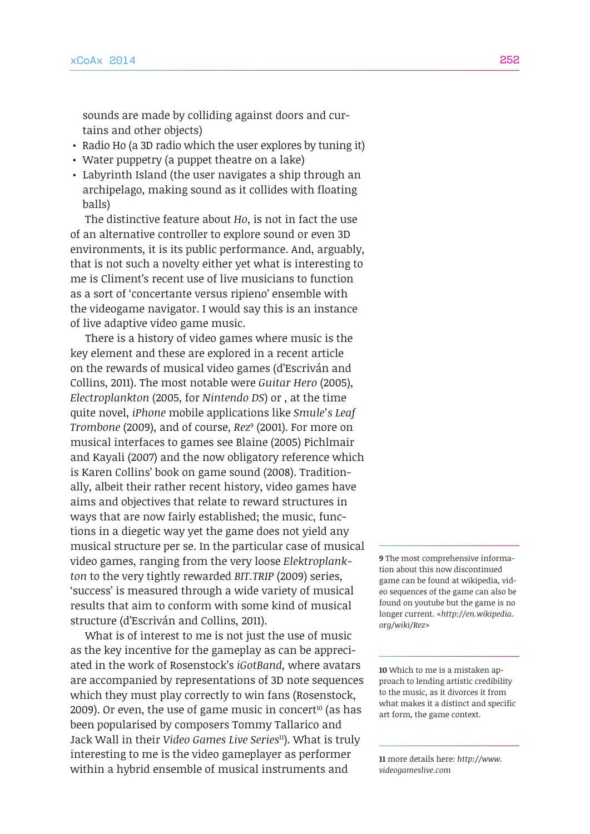sounds are made by colliding against doors and curtains and other objects)

- Radio Ho (a 3D radio which the user explores by tuning it)
- Water puppetry (a puppet theatre on a lake)
- Labyrinth Island (the user navigates a ship through an archipelago, making sound as it collides with floating balls)

The distinctive feature about *Ho*, is not in fact the use of an alternative controller to explore sound or even 3D environments, it is its public performance. And, arguably, that is not such a novelty either yet what is interesting to me is Climent's recent use of live musicians to function as a sort of 'concertante versus ripieno' ensemble with the videogame navigator. I would say this is an instance of live adaptive video game music.

There is a history of video games where music is the key element and these are explored in a recent article on the rewards of musical video games (d'Escriván and Collins, 2011). The most notable were *Guitar Hero* (2005), *Electroplankton* (2005, for *Nintendo DS*) or , at the time quite novel, *iPhone* mobile applications like *Smule's Leaf Trombone* (2009), and of course, *Rez*<sup>9</sup> (2001). For more on musical interfaces to games see Blaine (2005) Pichlmair and Kayali (2007) and the now obligatory reference which is Karen Collins' book on game sound (2008). Traditionally, albeit their rather recent history, video games have aims and objectives that relate to reward structures in ways that are now fairly established; the music, functions in a diegetic way yet the game does not yield any musical structure per se. In the particular case of musical video games, ranging from the very loose *Elektroplankton* to the very tightly rewarded *BIT.TRIP* (2009) series, 'success' is measured through a wide variety of musical results that aim to conform with some kind of musical structure (d'Escriván and Collins, 2011).

What is of interest to me is not just the use of music as the key incentive for the gameplay as can be appreciated in the work of Rosenstock's *iGotBand*, where avatars are accompanied by representations of 3D note sequences which they must play correctly to win fans (Rosenstock, 2009). Or even, the use of game music in concert<sup>10</sup> (as has been popularised by composers Tommy Tallarico and Jack Wall in their *Video Games Live Series*11). What is truly interesting to me is the video gameplayer as performer within a hybrid ensemble of musical instruments and

**9** The most comprehensive information about this now discontinued game can be found at wikipedia, video sequences of the game can also be found on youtube but the game is no longer current. *[<http://en.wikipedia.](http://en.wikipedia.org/wiki/Rez) [org/wiki/Rez](http://en.wikipedia.org/wiki/Rez)>*

**10** Which to me is a mistaken approach to lending artistic credibility to the music, as it divorces it from what makes it a distinct and specific art form, the game context.

**11** more details here: *[http://www.](http://www.videogameslive.com) [videogameslive.com](http://www.videogameslive.com)*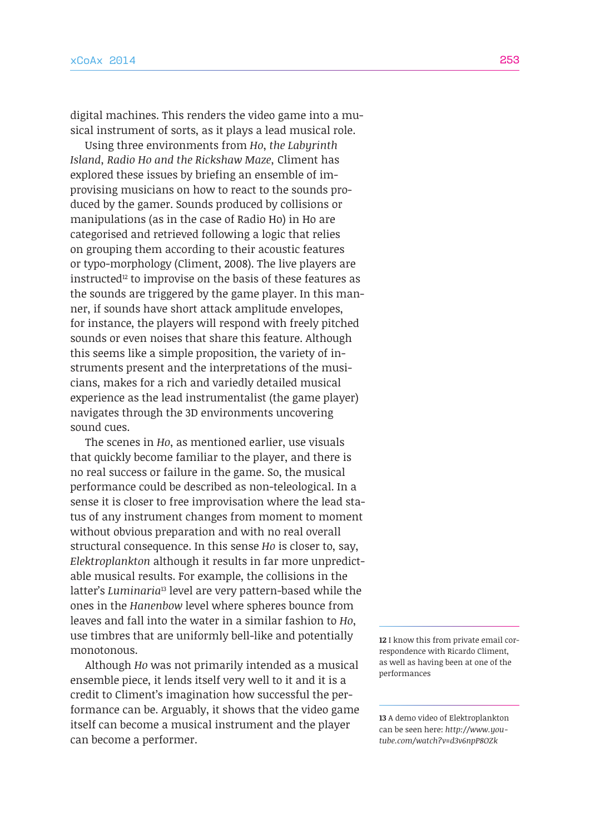digital machines. This renders the video game into a musical instrument of sorts, as it plays a lead musical role.

Using three environments from *Ho*, *the Labyrinth Island, Radio Ho and the Rickshaw Maze,* Climent has explored these issues by briefing an ensemble of improvising musicians on how to react to the sounds produced by the gamer. Sounds produced by collisions or manipulations (as in the case of Radio Ho) in Ho are categorised and retrieved following a logic that relies on grouping them according to their acoustic features or typo-morphology (Climent, 2008). The live players are instructed<sup>12</sup> to improvise on the basis of these features as the sounds are triggered by the game player. In this manner, if sounds have short attack amplitude envelopes, for instance, the players will respond with freely pitched sounds or even noises that share this feature. Although this seems like a simple proposition, the variety of instruments present and the interpretations of the musicians, makes for a rich and variedly detailed musical experience as the lead instrumentalist (the game player) navigates through the 3D environments uncovering sound cues.

The scenes in *Ho*, as mentioned earlier, use visuals that quickly become familiar to the player, and there is no real success or failure in the game. So, the musical performance could be described as non-teleological. In a sense it is closer to free improvisation where the lead status of any instrument changes from moment to moment without obvious preparation and with no real overall structural consequence. In this sense *Ho* is closer to, say, *Elektroplankton* although it results in far more unpredictable musical results. For example, the collisions in the latter's *Luminaria*<sup>13</sup> level are very pattern-based while the ones in the *Hanenbow* level where spheres bounce from leaves and fall into the water in a similar fashion to *Ho*, use timbres that are uniformly bell-like and potentially monotonous.

Although *Ho* was not primarily intended as a musical ensemble piece, it lends itself very well to it and it is a credit to Climent's imagination how successful the performance can be. Arguably, it shows that the video game itself can become a musical instrument and the player can become a performer.

**12** I know this from private email correspondence with Ricardo Climent, as well as having been at one of the performances

**13** A demo video of Elektroplankton can be seen here: *[http://www.you](http://www.youtube.com/watch?v=d3v6npP8OZk)[tube.com/watch?v=d3v6npP8OZk](http://www.youtube.com/watch?v=d3v6npP8OZk)*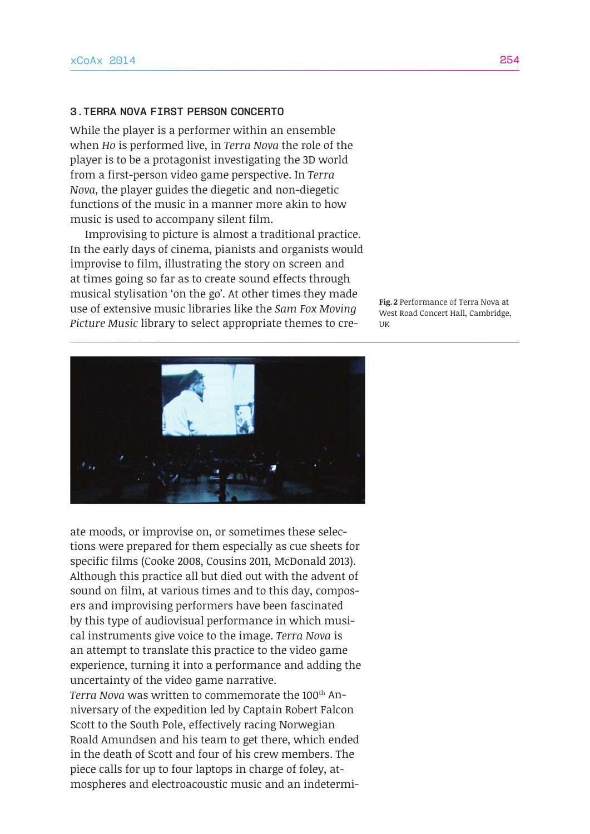#### **3.Terra Nova First Person Concerto**

While the player is a performer within an ensemble when *Ho* is performed live, in *Terra Nova* the role of the player is to be a protagonist investigating the 3D world from a first-person video game perspective. In *Terra Nova*, the player guides the diegetic and non-diegetic functions of the music in a manner more akin to how music is used to accompany silent film.

Improvising to picture is almost a traditional practice. In the early days of cinema, pianists and organists would improvise to film, illustrating the story on screen and at times going so far as to create sound effects through musical stylisation 'on the go'. At other times they made use of extensive music libraries like the *Sam Fox Moving Picture Music* library to select appropriate themes to cre-

**Fig.2** Performance of Terra Nova at West Road Concert Hall, Cambridge, UK



ate moods, or improvise on, or sometimes these selections were prepared for them especially as cue sheets for specific films (Cooke 2008, Cousins 2011, McDonald 2013). Although this practice all but died out with the advent of sound on film, at various times and to this day, composers and improvising performers have been fascinated by this type of audiovisual performance in which musical instruments give voice to the image. *Terra Nova* is an attempt to translate this practice to the video game experience, turning it into a performance and adding the uncertainty of the video game narrative.

*Terra Nova* was written to commemorate the 100<sup>th</sup> Anniversary of the expedition led by Captain Robert Falcon Scott to the South Pole, effectively racing Norwegian Roald Amundsen and his team to get there, which ended in the death of Scott and four of his crew members. The piece calls for up to four laptops in charge of foley, atmospheres and electroacoustic music and an indetermi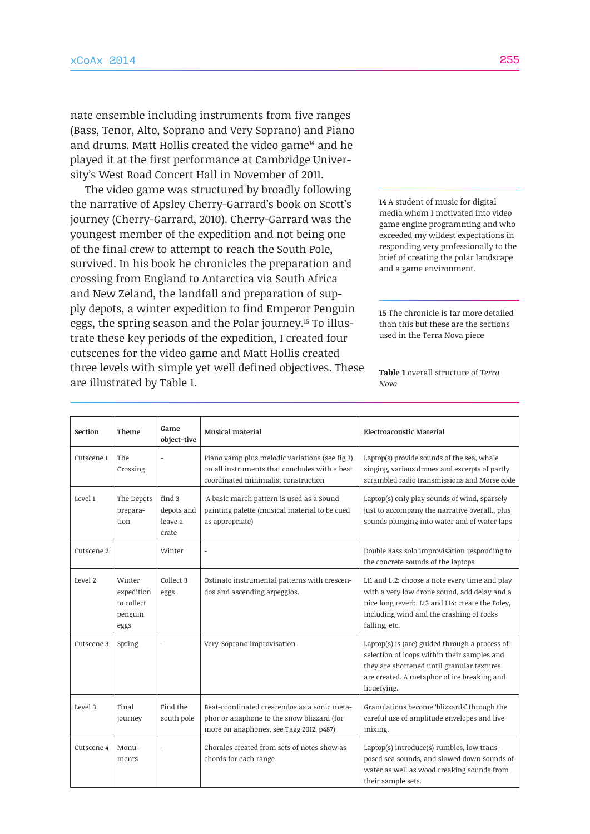nate ensemble including instruments from five ranges (Bass, Tenor, Alto, Soprano and Very Soprano) and Piano and drums. Matt Hollis created the video game<sup>14</sup> and he played it at the first performance at Cambridge University's West Road Concert Hall in November of 2011.

The video game was structured by broadly following the narrative of Apsley Cherry-Garrard's book on Scott's journey (Cherry-Garrard, 2010). Cherry-Garrard was the youngest member of the expedition and not being one of the final crew to attempt to reach the South Pole, survived. In his book he chronicles the preparation and crossing from England to Antarctica via South Africa and New Zeland, the landfall and preparation of supply depots, a winter expedition to find Emperor Penguin eggs, the spring season and the Polar journey.15 To illustrate these key periods of the expedition, I created four cutscenes for the video game and Matt Hollis created three levels with simple yet well defined objectives. These are illustrated by Table 1.

**14** A student of music for digital media whom I motivated into video game engine programming and who exceeded my wildest expectations in responding very professionally to the brief of creating the polar landscape and a game environment.

**15** The chronicle is far more detailed than this but these are the sections used in the Terra Nova piece

**Table 1** overall structure of *Terra Nova*

| Section    | Theme                                                 | Game<br>object-tive                      | <b>Musical material</b>                                                                                                                | <b>Electroacoustic Material</b>                                                                                                                                                                                 |
|------------|-------------------------------------------------------|------------------------------------------|----------------------------------------------------------------------------------------------------------------------------------------|-----------------------------------------------------------------------------------------------------------------------------------------------------------------------------------------------------------------|
| Cutscene 1 | The<br>Crossing                                       |                                          | Piano vamp plus melodic variations (see fig 3)<br>on all instruments that concludes with a beat<br>coordinated minimalist construction | Laptop(s) provide sounds of the sea, whale<br>singing, various drones and excerpts of partly<br>scrambled radio transmissions and Morse code                                                                    |
| Level 1    | The Depots<br>prepara-<br>tion                        | find 3<br>depots and<br>leave a<br>crate | A basic march pattern is used as a Sound-<br>painting palette (musical material to be cued<br>as appropriate)                          | Laptop(s) only play sounds of wind, sparsely<br>just to accompany the narrative overall., plus<br>sounds plunging into water and of water laps                                                                  |
| Cutscene 2 |                                                       | Winter                                   | $\overline{a}$                                                                                                                         | Double Bass solo improvisation responding to<br>the concrete sounds of the laptops                                                                                                                              |
| Level 2    | Winter<br>expedition<br>to collect<br>penguin<br>eggs | Collect 3<br>eggs                        | Ostinato instrumental patterns with crescen-<br>dos and ascending arpeggios.                                                           | Lt1 and Lt2: choose a note every time and play<br>with a very low drone sound, add delay and a<br>nice long reverb. Lt3 and Lt4: create the Foley,<br>including wind and the crashing of rocks<br>falling, etc. |
| Cutscene 3 | Spring                                                |                                          | Very-Soprano improvisation                                                                                                             | Laptop(s) is (are) guided through a process of<br>selection of loops within their samples and<br>they are shortened until granular textures<br>are created. A metaphor of ice breaking and<br>liquefying.       |
| Level 3    | Final<br>journey                                      | Find the<br>south pole                   | Beat-coordinated crescendos as a sonic meta-<br>phor or anaphone to the snow blizzard (for<br>more on anaphones, see Tagg 2012, p487)  | Granulations become 'blizzards' through the<br>careful use of amplitude envelopes and live<br>mixing.                                                                                                           |
| Cutscene 4 | Monu-<br>ments                                        |                                          | Chorales created from sets of notes show as<br>chords for each range                                                                   | Laptop(s) introduce(s) rumbles, low trans-<br>posed sea sounds, and slowed down sounds of<br>water as well as wood creaking sounds from<br>their sample sets.                                                   |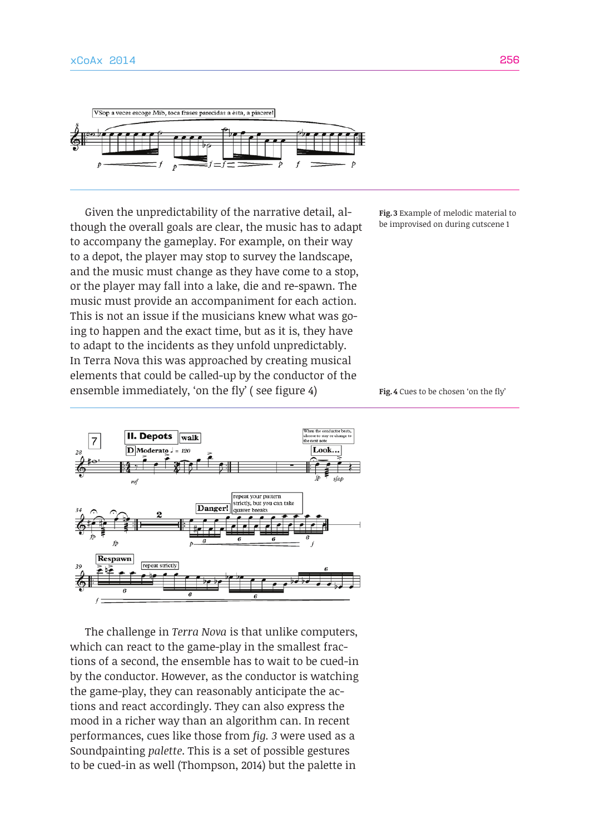

Given the unpredictability of the narrative detail, although the overall goals are clear, the music has to adapt to accompany the gameplay. For example, on their way to a depot, the player may stop to survey the landscape, and the music must change as they have come to a stop, or the player may fall into a lake, die and re-spawn. The music must provide an accompaniment for each action. This is not an issue if the musicians knew what was going to happen and the exact time, but as it is, they have to adapt to the incidents as they unfold unpredictably. In Terra Nova this was approached by creating musical elements that could be called-up by the conductor of the ensemble immediately, 'on the fly' ( see figure 4)



The challenge in *Terra Nova* is that unlike computers, which can react to the game-play in the smallest fractions of a second, the ensemble has to wait to be cued-in by the conductor. However, as the conductor is watching the game-play, they can reasonably anticipate the actions and react accordingly. They can also express the mood in a richer way than an algorithm can. In recent performances, cues like those from *fig. 3* were used as a Soundpainting *palette*. This is a set of possible gestures to be cued-in as well (Thompson, 2014) but the palette in

**Fig. 3** Example of melodic material to be improvised on during cutscene 1

**Fig.4** Cues to be chosen 'on the fly'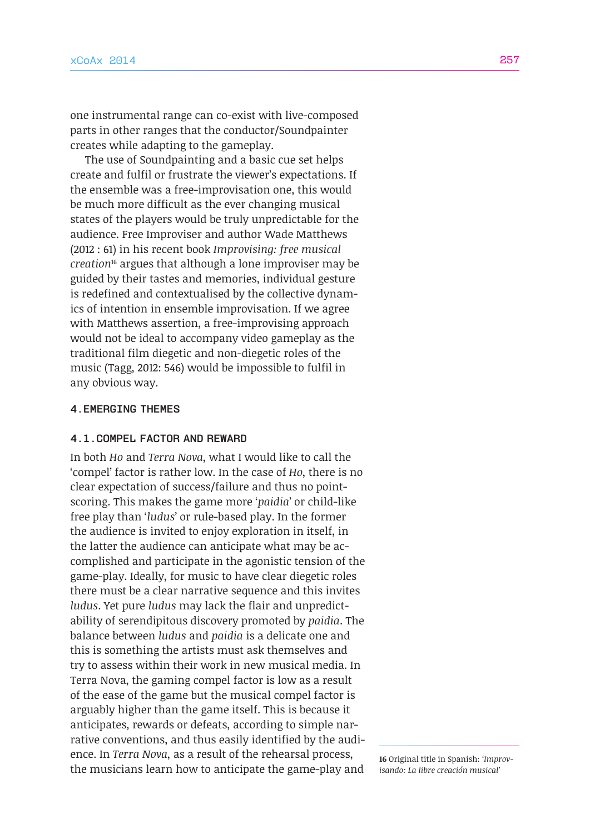one instrumental range can co-exist with live-composed parts in other ranges that the conductor/Soundpainter creates while adapting to the gameplay.

The use of Soundpainting and a basic cue set helps create and fulfil or frustrate the viewer's expectations. If the ensemble was a free-improvisation one, this would be much more difficult as the ever changing musical states of the players would be truly unpredictable for the audience. Free Improviser and author Wade Matthews (2012 : 61) in his recent book *Improvising: free musical creation*<sup>16</sup> argues that although a lone improviser may be guided by their tastes and memories, individual gesture is redefined and contextualised by the collective dynamics of intention in ensemble improvisation. If we agree with Matthews assertion, a free-improvising approach would not be ideal to accompany video gameplay as the traditional film diegetic and non-diegetic roles of the music (Tagg, 2012: 546) would be impossible to fulfil in any obvious way.

## **4.Emerging themes**

### **4.1.Compel factor and reward**

In both *Ho* and *Terra Nova*, what I would like to call the 'compel' factor is rather low. In the case of *Ho*, there is no clear expectation of success/failure and thus no pointscoring. This makes the game more '*paidia*' or child-like free play than '*ludus*' or rule-based play. In the former the audience is invited to enjoy exploration in itself, in the latter the audience can anticipate what may be accomplished and participate in the agonistic tension of the game-play. Ideally, for music to have clear diegetic roles there must be a clear narrative sequence and this invites *ludus*. Yet pure *ludus* may lack the flair and unpredictability of serendipitous discovery promoted by *paidia*. The balance between *ludus* and *paidia* is a delicate one and this is something the artists must ask themselves and try to assess within their work in new musical media. In Terra Nova, the gaming compel factor is low as a result of the ease of the game but the musical compel factor is arguably higher than the game itself. This is because it anticipates, rewards or defeats, according to simple narrative conventions, and thus easily identified by the audience. In *Terra Nova*, as a result of the rehearsal process, the musicians learn how to anticipate the game-play and

**16** Original title in Spanish: *'Improvisando: La libre creación musical'*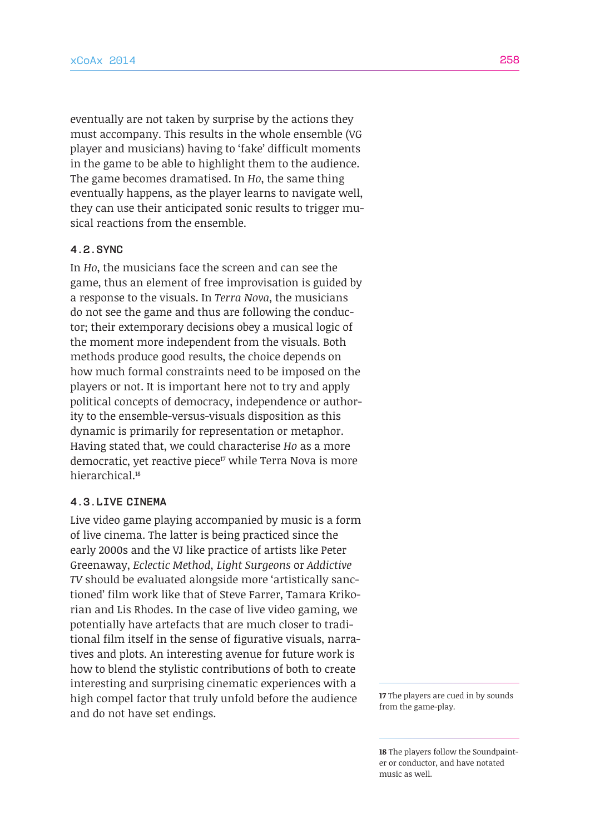eventually are not taken by surprise by the actions they must accompany. This results in the whole ensemble (VG player and musicians) having to 'fake' difficult moments in the game to be able to highlight them to the audience. The game becomes dramatised. In *Ho*, the same thing eventually happens, as the player learns to navigate well, they can use their anticipated sonic results to trigger musical reactions from the ensemble.

# **4.2.Sync**

In *Ho*, the musicians face the screen and can see the game, thus an element of free improvisation is guided by a response to the visuals. In *Terra Nova*, the musicians do not see the game and thus are following the conductor; their extemporary decisions obey a musical logic of the moment more independent from the visuals. Both methods produce good results, the choice depends on how much formal constraints need to be imposed on the players or not. It is important here not to try and apply political concepts of democracy, independence or authority to the ensemble-versus-visuals disposition as this dynamic is primarily for representation or metaphor. Having stated that, we could characterise *Ho* as a more democratic, yet reactive piece<sup>17</sup> while Terra Nova is more hierarchical.<sup>18</sup>

# **4.3.Live Cinema**

Live video game playing accompanied by music is a form of live cinema. The latter is being practiced since the early 2000s and the VJ like practice of artists like Peter Greenaway, *Eclectic Method, Light Surgeons* or *Addictive TV* should be evaluated alongside more 'artistically sanctioned' film work like that of Steve Farrer, Tamara Krikorian and Lis Rhodes. In the case of live video gaming, we potentially have artefacts that are much closer to traditional film itself in the sense of figurative visuals, narratives and plots. An interesting avenue for future work is how to blend the stylistic contributions of both to create interesting and surprising cinematic experiences with a high compel factor that truly unfold before the audience and do not have set endings.

**17** The players are cued in by sounds from the game-play.

**18** The players follow the Soundpainter or conductor, and have notated music as well.